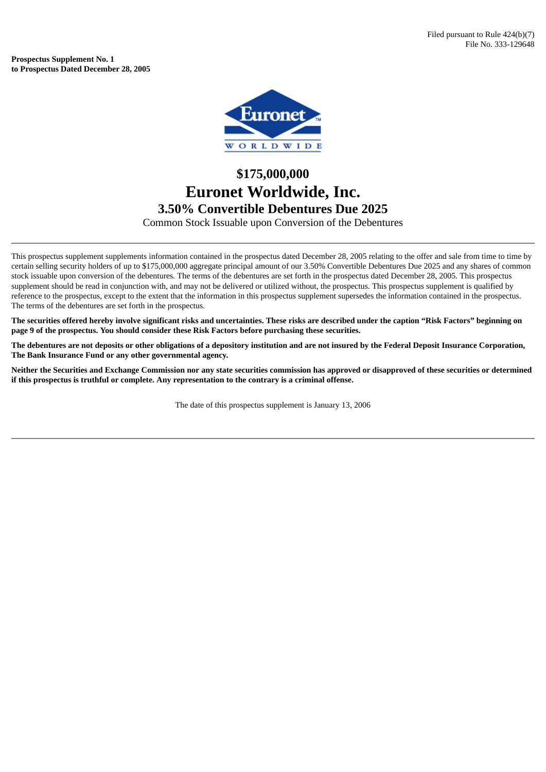**Prospectus Supplement No. 1 to Prospectus Dated December 28, 2005**



## **\$175,000,000 Euronet Worldwide, Inc. 3.50% Convertible Debentures Due 2025**

Common Stock Issuable upon Conversion of the Debentures

This prospectus supplement supplements information contained in the prospectus dated December 28, 2005 relating to the offer and sale from time to time by certain selling security holders of up to \$175,000,000 aggregate principal amount of our 3.50% Convertible Debentures Due 2025 and any shares of common stock issuable upon conversion of the debentures. The terms of the debentures are set forth in the prospectus dated December 28, 2005. This prospectus supplement should be read in conjunction with, and may not be delivered or utilized without, the prospectus. This prospectus supplement is qualified by reference to the prospectus, except to the extent that the information in this prospectus supplement supersedes the information contained in the prospectus. The terms of the debentures are set forth in the prospectus.

The securities offered hereby involve significant risks and uncertainties. These risks are described under the caption "Risk Factors" beginning on **page 9 of the prospectus. You should consider these Risk Factors before purchasing these securities.**

The debentures are not deposits or other obligations of a depository institution and are not insured by the Federal Deposit Insurance Corporation, **The Bank Insurance Fund or any other governmental agency.**

Neither the Securities and Exchange Commission nor any state securities commission has approved or disapproved of these securities or determined **if this prospectus is truthful or complete. Any representation to the contrary is a criminal offense.**

The date of this prospectus supplement is January 13, 2006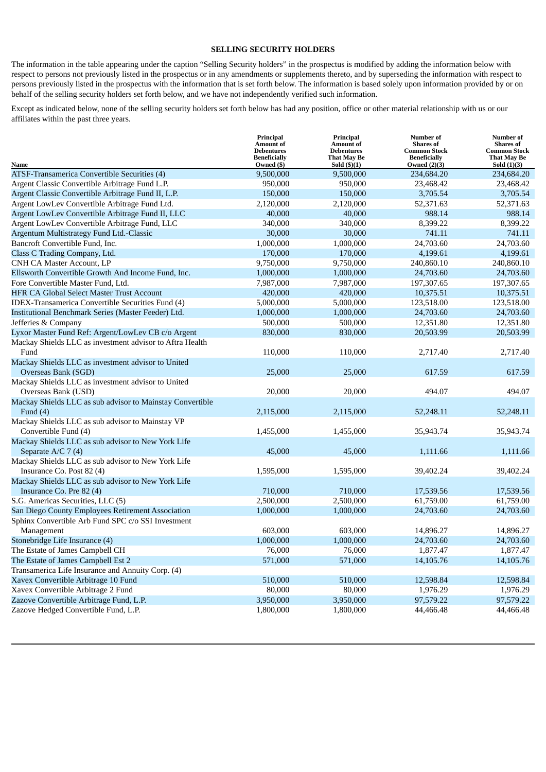## **SELLING SECURITY HOLDERS**

The information in the table appearing under the caption "Selling Security holders" in the prospectus is modified by adding the information below with respect to persons not previously listed in the prospectus or in any amendments or supplements thereto, and by superseding the information with respect to persons previously listed in the prospectus with the information that is set forth below. The information is based solely upon information provided by or on behalf of the selling security holders set forth below, and we have not independently verified such information.

Except as indicated below, none of the selling security holders set forth below has had any position, office or other material relationship with us or our affiliates within the past three years.

|                                                           | Principal<br><b>Amount of</b><br><b>Debentures</b><br><b>Beneficially</b> | Principal<br><b>Amount of</b><br><b>Debentures</b><br>That May Be | Number of<br><b>Shares</b> of<br><b>Common Stock</b><br><b>Beneficially</b><br>Owned $(2)(3)$ | <b>Number</b> of<br><b>Shares</b> of<br><b>Common Stock</b><br><b>That May Be</b> |
|-----------------------------------------------------------|---------------------------------------------------------------------------|-------------------------------------------------------------------|-----------------------------------------------------------------------------------------------|-----------------------------------------------------------------------------------|
| Name<br>ATSF-Transamerica Convertible Securities (4)      | Owned (\$)<br>9,500,000                                                   | Sold $(\text{\$})(1)$<br>9,500,000                                | 234,684.20                                                                                    | Sold $(1)(3)$<br>234,684.20                                                       |
| Argent Classic Convertible Arbitrage Fund L.P.            | 950,000                                                                   | 950,000                                                           | 23,468.42                                                                                     | 23,468.42                                                                         |
| Argent Classic Convertible Arbitrage Fund II, L.P.        | 150,000                                                                   | 150,000                                                           | 3,705.54                                                                                      | 3,705.54                                                                          |
| Argent LowLev Convertible Arbitrage Fund Ltd.             | 2,120,000                                                                 | 2,120,000                                                         | 52,371.63                                                                                     | 52,371.63                                                                         |
| Argent LowLev Convertible Arbitrage Fund II, LLC          | 40,000                                                                    | 40,000                                                            | 988.14                                                                                        | 988.14                                                                            |
| Argent LowLev Convertible Arbitrage Fund, LLC             | 340,000                                                                   | 340,000                                                           | 8,399.22                                                                                      | 8,399.22                                                                          |
| Argentum Multistrategy Fund Ltd.-Classic                  | 30,000                                                                    | 30,000                                                            | 741.11                                                                                        | 741.11                                                                            |
| Bancroft Convertible Fund, Inc.                           | 1,000,000                                                                 | 1,000,000                                                         | 24,703.60                                                                                     | 24,703.60                                                                         |
| Class C Trading Company, Ltd.                             | 170,000                                                                   | 170,000                                                           | 4,199.61                                                                                      | 4,199.61                                                                          |
| CNH CA Master Account, LP                                 | 9,750,000                                                                 | 9,750,000                                                         | 240,860.10                                                                                    | 240,860.10                                                                        |
| Ellsworth Convertible Growth And Income Fund, Inc.        | 1,000,000                                                                 | 1,000,000                                                         | 24,703.60                                                                                     | 24,703.60                                                                         |
| Fore Convertible Master Fund, Ltd.                        | 7,987,000                                                                 | 7,987,000                                                         | 197,307.65                                                                                    | 197,307.65                                                                        |
| <b>HFR CA Global Select Master Trust Account</b>          | 420,000                                                                   | 420,000                                                           | 10,375.51                                                                                     | 10,375.51                                                                         |
| IDEX-Transamerica Convertible Securities Fund (4)         | 5,000,000                                                                 | 5,000,000                                                         | 123,518.00                                                                                    | 123,518.00                                                                        |
| Institutional Benchmark Series (Master Feeder) Ltd.       | 1,000,000                                                                 | 1,000,000                                                         | 24,703.60                                                                                     | 24,703.60                                                                         |
| Jefferies & Company                                       | 500,000                                                                   | 500,000                                                           | 12,351.80                                                                                     | 12,351.80                                                                         |
| Lyxor Master Fund Ref: Argent/LowLev CB c/o Argent        | 830,000                                                                   | 830,000                                                           | 20,503.99                                                                                     | 20,503.99                                                                         |
| Mackay Shields LLC as investment advisor to Aftra Health  |                                                                           |                                                                   |                                                                                               |                                                                                   |
| Fund                                                      | 110,000                                                                   | 110,000                                                           | 2,717.40                                                                                      | 2,717.40                                                                          |
| Mackay Shields LLC as investment advisor to United        |                                                                           |                                                                   |                                                                                               |                                                                                   |
| Overseas Bank (SGD)                                       | 25,000                                                                    | 25,000                                                            | 617.59                                                                                        | 617.59                                                                            |
| Mackay Shields LLC as investment advisor to United        |                                                                           |                                                                   |                                                                                               |                                                                                   |
| Overseas Bank (USD)                                       | 20,000                                                                    | 20,000                                                            | 494.07                                                                                        | 494.07                                                                            |
| Mackay Shields LLC as sub advisor to Mainstay Convertible |                                                                           |                                                                   |                                                                                               |                                                                                   |
| Fund $(4)$                                                | 2,115,000                                                                 | 2,115,000                                                         | 52,248.11                                                                                     | 52,248.11                                                                         |
| Mackay Shields LLC as sub advisor to Mainstay VP          |                                                                           |                                                                   |                                                                                               |                                                                                   |
| Convertible Fund (4)                                      | 1,455,000                                                                 | 1,455,000                                                         | 35,943.74                                                                                     | 35,943.74                                                                         |
| Mackay Shields LLC as sub advisor to New York Life        |                                                                           |                                                                   |                                                                                               |                                                                                   |
| Separate A/C 7 (4)                                        | 45,000                                                                    | 45,000                                                            | 1,111.66                                                                                      | 1,111.66                                                                          |
| Mackay Shields LLC as sub advisor to New York Life        |                                                                           |                                                                   |                                                                                               |                                                                                   |
| Insurance Co. Post 82 (4)                                 | 1,595,000                                                                 | 1,595,000                                                         | 39,402.24                                                                                     | 39,402.24                                                                         |
| Mackay Shields LLC as sub advisor to New York Life        |                                                                           |                                                                   |                                                                                               |                                                                                   |
| Insurance Co. Pre 82 (4)                                  | 710,000                                                                   | 710,000                                                           | 17,539.56                                                                                     | 17,539.56                                                                         |
| S.G. Americas Securities, LLC (5)                         | 2,500,000                                                                 | 2,500,000                                                         | 61,759.00                                                                                     | 61,759.00                                                                         |
| San Diego County Employees Retirement Association         | 1,000,000                                                                 | 1,000,000                                                         | 24,703.60                                                                                     | 24,703.60                                                                         |
| Sphinx Convertible Arb Fund SPC c/o SSI Investment        |                                                                           |                                                                   |                                                                                               |                                                                                   |
| Management                                                | 603,000                                                                   | 603,000                                                           | 14,896.27                                                                                     | 14,896.27                                                                         |
| Stonebridge Life Insurance (4)                            | 1,000,000                                                                 | 1,000,000                                                         | 24,703.60                                                                                     | 24,703.60                                                                         |
| The Estate of James Campbell CH                           | 76,000                                                                    | 76,000                                                            | 1,877.47                                                                                      | 1,877.47                                                                          |
| The Estate of James Campbell Est 2                        | 571,000                                                                   | 571,000                                                           | 14,105.76                                                                                     | 14,105.76                                                                         |
| Transamerica Life Insurance and Annuity Corp. (4)         |                                                                           |                                                                   |                                                                                               |                                                                                   |
| Xavex Convertible Arbitrage 10 Fund                       | 510,000                                                                   | 510,000                                                           | 12,598.84                                                                                     | 12,598.84                                                                         |
| Xavex Convertible Arbitrage 2 Fund                        | 80,000                                                                    | 80,000                                                            | 1,976.29                                                                                      | 1,976.29                                                                          |
| Zazove Convertible Arbitrage Fund, L.P.                   | 3,950,000                                                                 | 3,950,000                                                         | 97,579.22                                                                                     | 97,579.22                                                                         |
| Zazove Hedged Convertible Fund, L.P.                      | 1,800,000                                                                 | 1,800,000                                                         | 44,466.48                                                                                     | 44,466.48                                                                         |